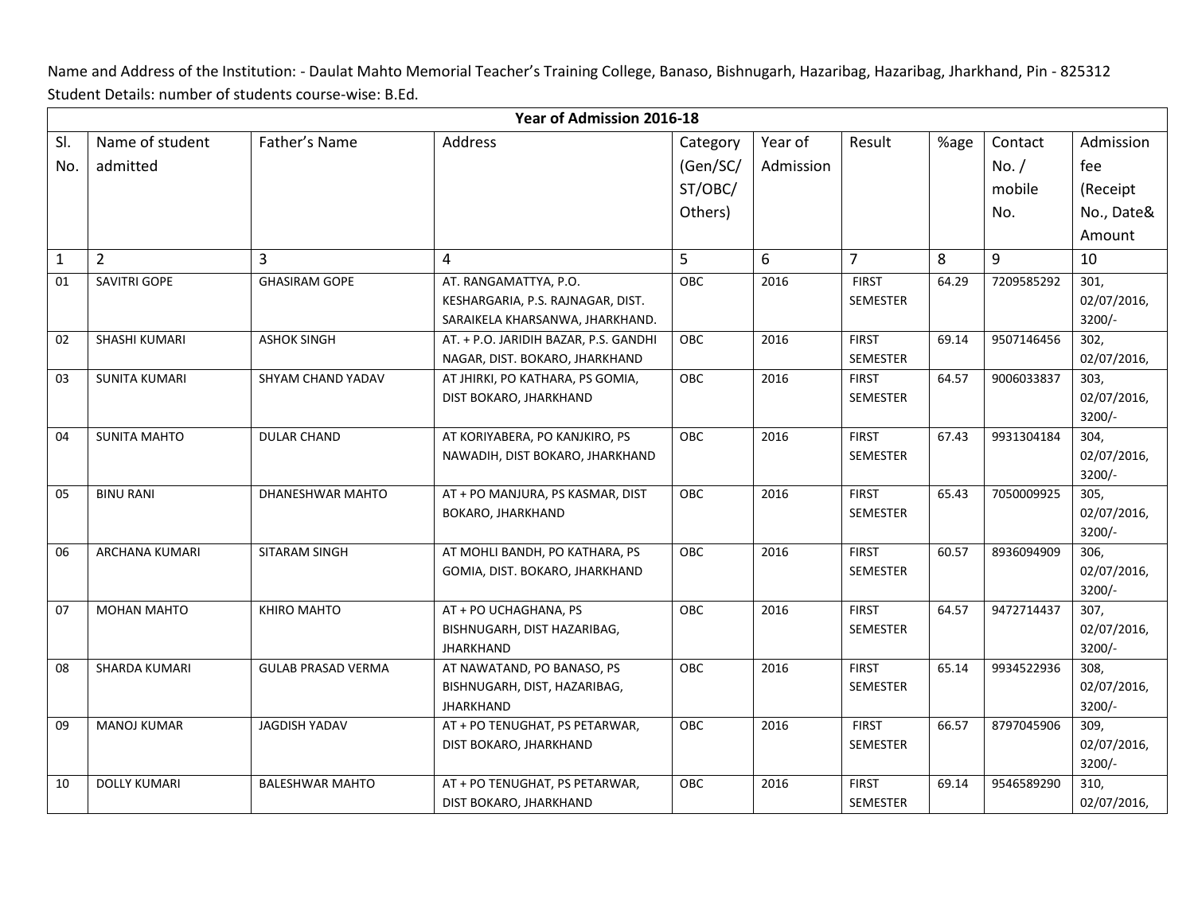Name and Address of the Institution: - Daulat Mahto Memorial Teacher's Training College, Banaso, Bishnugarh, Hazaribag, Hazaribag, Jharkhand, Pin - 825312 Student Details: number of students course-wise: B.Ed.

|              | Year of Admission 2016-18 |                           |                                       |          |           |                 |       |            |                         |  |
|--------------|---------------------------|---------------------------|---------------------------------------|----------|-----------|-----------------|-------|------------|-------------------------|--|
| SI.          | Name of student           | Father's Name             | Address                               | Category | Year of   | Result          | %age  | Contact    | Admission               |  |
| No.          | admitted                  |                           |                                       | (Gen/SC/ | Admission |                 |       | No. /      | fee                     |  |
|              |                           |                           |                                       | ST/OBC/  |           |                 |       | mobile     | (Receipt                |  |
|              |                           |                           |                                       | Others)  |           |                 |       | No.        | No., Date&              |  |
|              |                           |                           |                                       |          |           |                 |       |            | Amount                  |  |
| $\mathbf{1}$ | $\overline{2}$            | 3                         | 4                                     | 5        | 6         | $\overline{7}$  | 8     | 9          | 10                      |  |
| 01           | <b>SAVITRI GOPE</b>       | <b>GHASIRAM GOPE</b>      | AT. RANGAMATTYA, P.O.                 | OBC      | 2016      | <b>FIRST</b>    | 64.29 | 7209585292 | 301,                    |  |
|              |                           |                           | KESHARGARIA, P.S. RAJNAGAR, DIST.     |          |           | <b>SEMESTER</b> |       |            | 02/07/2016,             |  |
|              |                           |                           | SARAIKELA KHARSANWA, JHARKHAND.       |          |           |                 |       |            | $3200/-$                |  |
| 02           | SHASHI KUMARI             | <b>ASHOK SINGH</b>        | AT. + P.O. JARIDIH BAZAR, P.S. GANDHI | OBC      | 2016      | <b>FIRST</b>    | 69.14 | 9507146456 | 302,                    |  |
|              |                           |                           | NAGAR, DIST. BOKARO, JHARKHAND        |          |           | <b>SEMESTER</b> |       |            | 02/07/2016,             |  |
| 03           | <b>SUNITA KUMARI</b>      | SHYAM CHAND YADAV         | AT JHIRKI, PO KATHARA, PS GOMIA,      | OBC      | 2016      | <b>FIRST</b>    | 64.57 | 9006033837 | 303,                    |  |
|              |                           |                           | DIST BOKARO, JHARKHAND                |          |           | SEMESTER        |       |            | 02/07/2016,             |  |
|              |                           |                           |                                       |          |           |                 |       |            | $3200/-$                |  |
| 04           | <b>SUNITA MAHTO</b>       | <b>DULAR CHAND</b>        | AT KORIYABERA, PO KANJKIRO, PS        | OBC      | 2016      | <b>FIRST</b>    | 67.43 | 9931304184 | 304,                    |  |
|              |                           |                           | NAWADIH, DIST BOKARO, JHARKHAND       |          |           | SEMESTER        |       |            | 02/07/2016,             |  |
|              |                           |                           |                                       |          |           |                 |       |            | $3200/-$                |  |
| 05           | <b>BINU RANI</b>          | DHANESHWAR MAHTO          | AT + PO MANJURA, PS KASMAR, DIST      | OBC      | 2016      | <b>FIRST</b>    | 65.43 | 7050009925 | 305,                    |  |
|              |                           |                           | BOKARO, JHARKHAND                     |          |           | SEMESTER        |       |            | 02/07/2016,<br>$3200/-$ |  |
| 06           | ARCHANA KUMARI            | SITARAM SINGH             | AT MOHLI BANDH, PO KATHARA, PS        | OBC      | 2016      | <b>FIRST</b>    | 60.57 | 8936094909 | 306,                    |  |
|              |                           |                           | GOMIA, DIST. BOKARO, JHARKHAND        |          |           | SEMESTER        |       |            | 02/07/2016,             |  |
|              |                           |                           |                                       |          |           |                 |       |            | $3200/-$                |  |
| 07           | <b>MOHAN MAHTO</b>        | KHIRO MAHTO               | AT + PO UCHAGHANA, PS                 | OBC      | 2016      | <b>FIRST</b>    | 64.57 | 9472714437 | 307,                    |  |
|              |                           |                           | BISHNUGARH, DIST HAZARIBAG,           |          |           | SEMESTER        |       |            | 02/07/2016,             |  |
|              |                           |                           | <b>JHARKHAND</b>                      |          |           |                 |       |            | $3200/-$                |  |
| 08           | SHARDA KUMARI             | <b>GULAB PRASAD VERMA</b> | AT NAWATAND, PO BANASO, PS            | OBC      | 2016      | <b>FIRST</b>    | 65.14 | 9934522936 | 308,                    |  |
|              |                           |                           | BISHNUGARH, DIST, HAZARIBAG,          |          |           | SEMESTER        |       |            | 02/07/2016,             |  |
|              |                           |                           | <b>JHARKHAND</b>                      |          |           |                 |       |            | $3200/-$                |  |
| 09           | <b>MANOJ KUMAR</b>        | <b>JAGDISH YADAV</b>      | AT + PO TENUGHAT, PS PETARWAR,        | OBC      | 2016      | <b>FIRST</b>    | 66.57 | 8797045906 | 309,                    |  |
|              |                           |                           | DIST BOKARO, JHARKHAND                |          |           | SEMESTER        |       |            | 02/07/2016,             |  |
|              |                           |                           |                                       |          |           |                 |       |            | $3200/-$                |  |
| 10           | <b>DOLLY KUMARI</b>       | <b>BALESHWAR MAHTO</b>    | AT + PO TENUGHAT, PS PETARWAR,        | OBC      | 2016      | <b>FIRST</b>    | 69.14 | 9546589290 | 310,                    |  |
|              |                           |                           | DIST BOKARO, JHARKHAND                |          |           | SEMESTER        |       |            | 02/07/2016,             |  |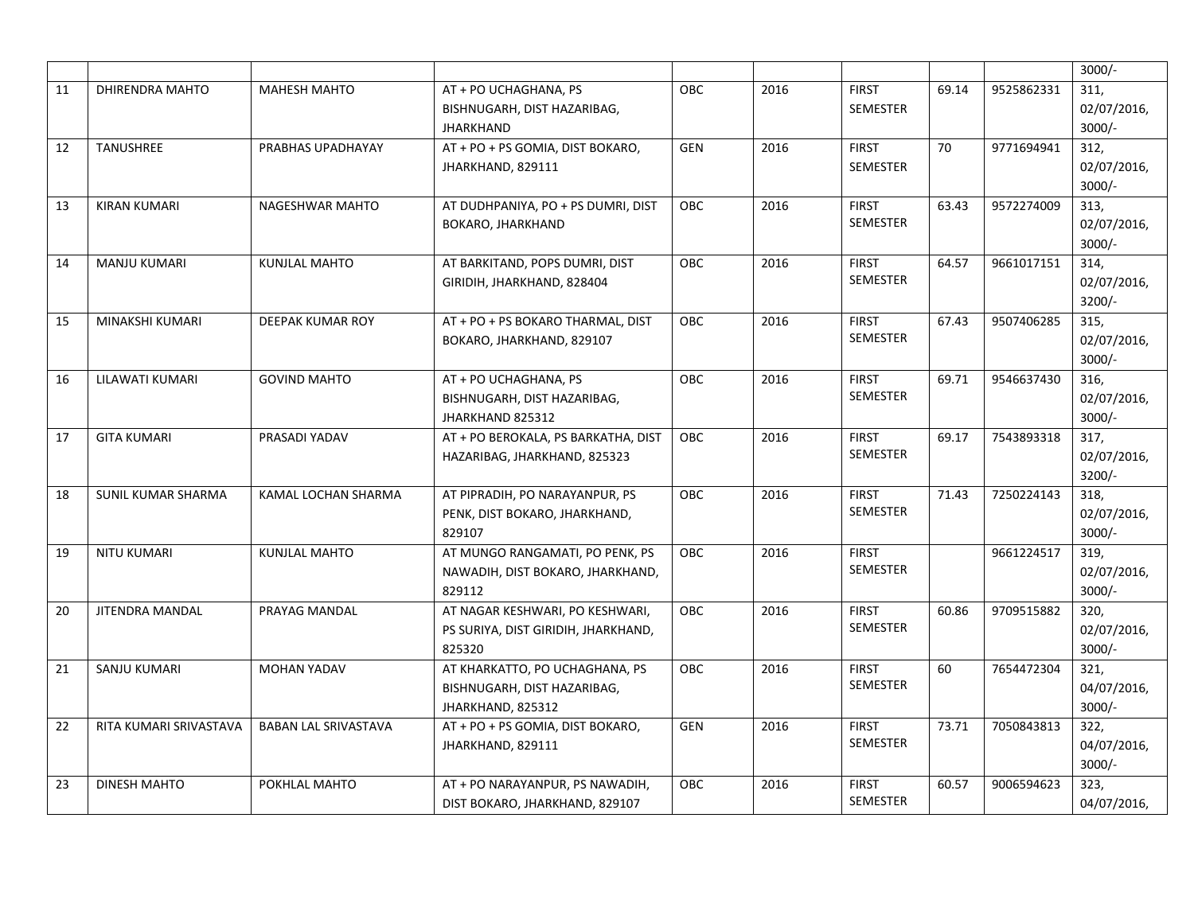|    |                        |                             |                                                                                    |            |      |                                 |       |            | $3000/-$                        |
|----|------------------------|-----------------------------|------------------------------------------------------------------------------------|------------|------|---------------------------------|-------|------------|---------------------------------|
| 11 | <b>DHIRENDRA MAHTO</b> | <b>MAHESH MAHTO</b>         | AT + PO UCHAGHANA, PS<br>BISHNUGARH, DIST HAZARIBAG,<br><b>JHARKHAND</b>           | OBC        | 2016 | <b>FIRST</b><br><b>SEMESTER</b> | 69.14 | 9525862331 | 311,<br>02/07/2016,<br>$3000/-$ |
| 12 | <b>TANUSHREE</b>       | PRABHAS UPADHAYAY           | AT + PO + PS GOMIA, DIST BOKARO,<br>JHARKHAND, 829111                              | <b>GEN</b> | 2016 | <b>FIRST</b><br>SEMESTER        | 70    | 9771694941 | 312,<br>02/07/2016,<br>$3000/-$ |
| 13 | <b>KIRAN KUMARI</b>    | NAGESHWAR MAHTO             | AT DUDHPANIYA, PO + PS DUMRI, DIST<br>BOKARO, JHARKHAND                            | <b>OBC</b> | 2016 | <b>FIRST</b><br><b>SEMESTER</b> | 63.43 | 9572274009 | 313,<br>02/07/2016,<br>$3000/-$ |
| 14 | <b>MANJU KUMARI</b>    | <b>KUNJLAL MAHTO</b>        | AT BARKITAND, POPS DUMRI, DIST<br>GIRIDIH, JHARKHAND, 828404                       | <b>OBC</b> | 2016 | <b>FIRST</b><br>SEMESTER        | 64.57 | 9661017151 | 314,<br>02/07/2016,<br>$3200/-$ |
| 15 | MINAKSHI KUMARI        | DEEPAK KUMAR ROY            | AT + PO + PS BOKARO THARMAL, DIST<br>BOKARO, JHARKHAND, 829107                     | <b>OBC</b> | 2016 | <b>FIRST</b><br><b>SEMESTER</b> | 67.43 | 9507406285 | 315,<br>02/07/2016,<br>$3000/-$ |
| 16 | LILAWATI KUMARI        | <b>GOVIND MAHTO</b>         | AT + PO UCHAGHANA, PS<br>BISHNUGARH, DIST HAZARIBAG,<br>JHARKHAND 825312           | <b>OBC</b> | 2016 | <b>FIRST</b><br>SEMESTER        | 69.71 | 9546637430 | 316,<br>02/07/2016,<br>$3000/-$ |
| 17 | <b>GITA KUMARI</b>     | PRASADI YADAV               | AT + PO BEROKALA, PS BARKATHA, DIST<br>HAZARIBAG, JHARKHAND, 825323                | OBC        | 2016 | <b>FIRST</b><br><b>SEMESTER</b> | 69.17 | 7543893318 | 317,<br>02/07/2016,<br>$3200/-$ |
| 18 | SUNIL KUMAR SHARMA     | KAMAL LOCHAN SHARMA         | AT PIPRADIH, PO NARAYANPUR, PS<br>PENK, DIST BOKARO, JHARKHAND,<br>829107          | <b>OBC</b> | 2016 | <b>FIRST</b><br><b>SEMESTER</b> | 71.43 | 7250224143 | 318,<br>02/07/2016,<br>$3000/-$ |
| 19 | <b>NITU KUMARI</b>     | <b>KUNJLAL MAHTO</b>        | AT MUNGO RANGAMATI, PO PENK, PS<br>NAWADIH, DIST BOKARO, JHARKHAND,<br>829112      | <b>OBC</b> | 2016 | <b>FIRST</b><br><b>SEMESTER</b> |       | 9661224517 | 319,<br>02/07/2016,<br>$3000/-$ |
| 20 | JITENDRA MANDAL        | PRAYAG MANDAL               | AT NAGAR KESHWARI, PO KESHWARI,<br>PS SURIYA, DIST GIRIDIH, JHARKHAND,<br>825320   | OBC        | 2016 | <b>FIRST</b><br><b>SEMESTER</b> | 60.86 | 9709515882 | 320,<br>02/07/2016,<br>$3000/-$ |
| 21 | SANJU KUMARI           | <b>MOHAN YADAV</b>          | AT KHARKATTO, PO UCHAGHANA, PS<br>BISHNUGARH, DIST HAZARIBAG,<br>JHARKHAND, 825312 | <b>OBC</b> | 2016 | <b>FIRST</b><br>SEMESTER        | 60    | 7654472304 | 321,<br>04/07/2016,<br>$3000/-$ |
| 22 | RITA KUMARI SRIVASTAVA | <b>BABAN LAL SRIVASTAVA</b> | AT + PO + PS GOMIA, DIST BOKARO,<br>JHARKHAND, 829111                              | <b>GEN</b> | 2016 | <b>FIRST</b><br><b>SEMESTER</b> | 73.71 | 7050843813 | 322,<br>04/07/2016,<br>$3000/-$ |
| 23 | <b>DINESH MAHTO</b>    | POKHLAL MAHTO               | AT + PO NARAYANPUR, PS NAWADIH,<br>DIST BOKARO, JHARKHAND, 829107                  | OBC        | 2016 | <b>FIRST</b><br>SEMESTER        | 60.57 | 9006594623 | 323,<br>04/07/2016,             |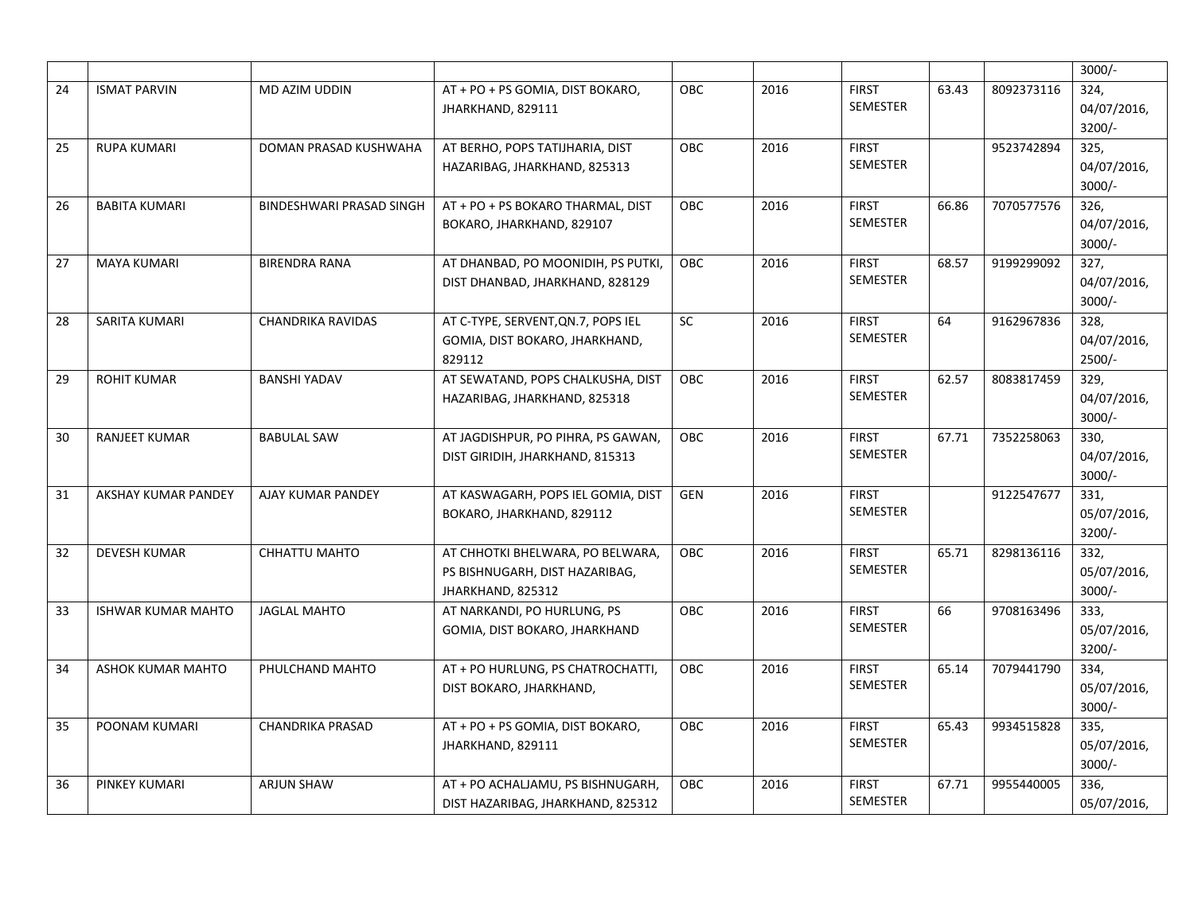|    |                           |                          |                                    |            |      |                 |       |            | $3000/-$    |
|----|---------------------------|--------------------------|------------------------------------|------------|------|-----------------|-------|------------|-------------|
| 24 | <b>ISMAT PARVIN</b>       | MD AZIM UDDIN            | AT + PO + PS GOMIA, DIST BOKARO,   | <b>OBC</b> | 2016 | <b>FIRST</b>    | 63.43 | 8092373116 | 324,        |
|    |                           |                          | JHARKHAND, 829111                  |            |      | SEMESTER        |       |            | 04/07/2016, |
|    |                           |                          |                                    |            |      |                 |       |            | $3200/-$    |
| 25 | <b>RUPA KUMARI</b>        | DOMAN PRASAD KUSHWAHA    | AT BERHO, POPS TATIJHARIA, DIST    | <b>OBC</b> | 2016 | <b>FIRST</b>    |       | 9523742894 | 325,        |
|    |                           |                          | HAZARIBAG, JHARKHAND, 825313       |            |      | SEMESTER        |       |            | 04/07/2016, |
|    |                           |                          |                                    |            |      |                 |       |            | $3000/-$    |
| 26 | <b>BABITA KUMARI</b>      | BINDESHWARI PRASAD SINGH | AT + PO + PS BOKARO THARMAL, DIST  | <b>OBC</b> | 2016 | <b>FIRST</b>    | 66.86 | 7070577576 | 326,        |
|    |                           |                          | BOKARO, JHARKHAND, 829107          |            |      | SEMESTER        |       |            | 04/07/2016, |
|    |                           |                          |                                    |            |      |                 |       |            | $3000/-$    |
| 27 | <b>MAYA KUMARI</b>        | <b>BIRENDRA RANA</b>     | AT DHANBAD, PO MOONIDIH, PS PUTKI, | <b>OBC</b> | 2016 | <b>FIRST</b>    | 68.57 | 9199299092 | 327,        |
|    |                           |                          | DIST DHANBAD, JHARKHAND, 828129    |            |      | SEMESTER        |       |            | 04/07/2016, |
|    |                           |                          |                                    |            |      |                 |       |            | $3000/-$    |
| 28 | <b>SARITA KUMARI</b>      | <b>CHANDRIKA RAVIDAS</b> | AT C-TYPE, SERVENT, QN.7, POPS IEL | SC         | 2016 | <b>FIRST</b>    | 64    | 9162967836 | 328,        |
|    |                           |                          | GOMIA, DIST BOKARO, JHARKHAND,     |            |      | SEMESTER        |       |            | 04/07/2016, |
|    |                           |                          | 829112                             |            |      |                 |       |            | $2500/-$    |
| 29 | <b>ROHIT KUMAR</b>        | <b>BANSHI YADAV</b>      | AT SEWATAND, POPS CHALKUSHA, DIST  | <b>OBC</b> | 2016 | <b>FIRST</b>    | 62.57 | 8083817459 | 329,        |
|    |                           |                          | HAZARIBAG, JHARKHAND, 825318       |            |      | SEMESTER        |       |            | 04/07/2016, |
|    |                           |                          |                                    |            |      |                 |       |            | $3000/-$    |
| 30 | <b>RANJEET KUMAR</b>      | <b>BABULAL SAW</b>       | AT JAGDISHPUR, PO PIHRA, PS GAWAN, | OBC        | 2016 | <b>FIRST</b>    | 67.71 | 7352258063 | 330,        |
|    |                           |                          | DIST GIRIDIH, JHARKHAND, 815313    |            |      | SEMESTER        |       |            | 04/07/2016, |
|    |                           |                          |                                    |            |      |                 |       |            | $3000/-$    |
| 31 | AKSHAY KUMAR PANDEY       | AJAY KUMAR PANDEY        | AT KASWAGARH, POPS IEL GOMIA, DIST | <b>GEN</b> | 2016 | <b>FIRST</b>    |       | 9122547677 | 331,        |
|    |                           |                          | BOKARO, JHARKHAND, 829112          |            |      | <b>SEMESTER</b> |       |            | 05/07/2016, |
|    |                           |                          |                                    |            |      |                 |       |            | $3200/-$    |
| 32 | <b>DEVESH KUMAR</b>       | <b>CHHATTU MAHTO</b>     | AT CHHOTKI BHELWARA, PO BELWARA,   | OBC        | 2016 | <b>FIRST</b>    | 65.71 | 8298136116 | 332,        |
|    |                           |                          | PS BISHNUGARH, DIST HAZARIBAG,     |            |      | SEMESTER        |       |            | 05/07/2016, |
|    |                           |                          | JHARKHAND, 825312                  |            |      |                 |       |            | $3000/-$    |
| 33 | <b>ISHWAR KUMAR MAHTO</b> | <b>JAGLAL MAHTO</b>      | AT NARKANDI, PO HURLUNG, PS        | OBC        | 2016 | <b>FIRST</b>    | 66    | 9708163496 | 333,        |
|    |                           |                          | GOMIA, DIST BOKARO, JHARKHAND      |            |      | SEMESTER        |       |            | 05/07/2016, |
|    |                           |                          |                                    |            |      |                 |       |            | $3200/-$    |
| 34 | <b>ASHOK KUMAR MAHTO</b>  | PHULCHAND MAHTO          | AT + PO HURLUNG, PS CHATROCHATTI,  | <b>OBC</b> | 2016 | <b>FIRST</b>    | 65.14 | 7079441790 | 334,        |
|    |                           |                          | DIST BOKARO, JHARKHAND,            |            |      | SEMESTER        |       |            | 05/07/2016, |
|    |                           |                          |                                    |            |      |                 |       |            | $3000/-$    |
| 35 | POONAM KUMARI             | <b>CHANDRIKA PRASAD</b>  | AT + PO + PS GOMIA, DIST BOKARO,   | OBC        | 2016 | <b>FIRST</b>    | 65.43 | 9934515828 | 335,        |
|    |                           |                          | JHARKHAND, 829111                  |            |      | <b>SEMESTER</b> |       |            | 05/07/2016, |
|    |                           |                          |                                    |            |      |                 |       |            | $3000/-$    |
| 36 | <b>PINKEY KUMARI</b>      | <b>ARJUN SHAW</b>        | AT + PO ACHALJAMU, PS BISHNUGARH,  | <b>OBC</b> | 2016 | <b>FIRST</b>    | 67.71 | 9955440005 | 336,        |
|    |                           |                          | DIST HAZARIBAG, JHARKHAND, 825312  |            |      | SEMESTER        |       |            | 05/07/2016, |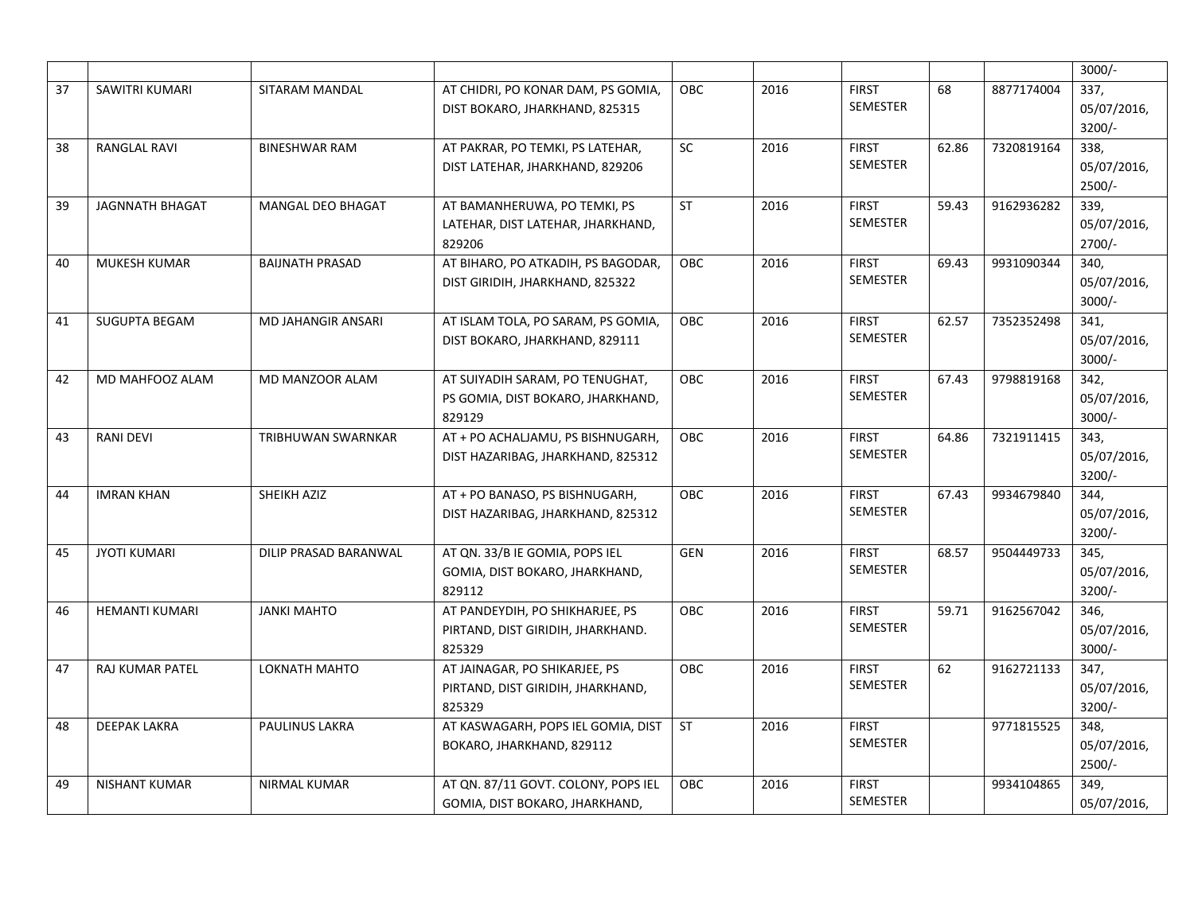|    |                        |                           |                                     |            |      |                                 |       |            | $3000/-$                |
|----|------------------------|---------------------------|-------------------------------------|------------|------|---------------------------------|-------|------------|-------------------------|
| 37 | SAWITRI KUMARI         | SITARAM MANDAL            | AT CHIDRI, PO KONAR DAM, PS GOMIA,  | OBC        | 2016 | <b>FIRST</b>                    | 68    | 8877174004 | 337,                    |
|    |                        |                           | DIST BOKARO, JHARKHAND, 825315      |            |      | <b>SEMESTER</b>                 |       |            | 05/07/2016,             |
|    |                        |                           |                                     |            |      |                                 |       |            | $3200/-$                |
| 38 | RANGLAL RAVI           | <b>BINESHWAR RAM</b>      | AT PAKRAR, PO TEMKI, PS LATEHAR,    | SC         | 2016 | <b>FIRST</b>                    | 62.86 | 7320819164 | 338,                    |
|    |                        |                           | DIST LATEHAR, JHARKHAND, 829206     |            |      | SEMESTER                        |       |            | 05/07/2016,             |
|    |                        |                           |                                     |            |      |                                 |       |            | $2500/-$                |
| 39 | <b>JAGNNATH BHAGAT</b> | MANGAL DEO BHAGAT         | AT BAMANHERUWA, PO TEMKI, PS        | <b>ST</b>  | 2016 | <b>FIRST</b>                    | 59.43 | 9162936282 | 339,                    |
|    |                        |                           | LATEHAR, DIST LATEHAR, JHARKHAND,   |            |      | <b>SEMESTER</b>                 |       |            | 05/07/2016,             |
|    |                        |                           | 829206                              |            |      |                                 |       |            | $2700/-$                |
| 40 | MUKESH KUMAR           | <b>BAIJNATH PRASAD</b>    | AT BIHARO, PO ATKADIH, PS BAGODAR,  | OBC        | 2016 | <b>FIRST</b>                    | 69.43 | 9931090344 | 340,                    |
|    |                        |                           | DIST GIRIDIH, JHARKHAND, 825322     |            |      | <b>SEMESTER</b>                 |       |            | 05/07/2016,             |
|    |                        |                           |                                     |            |      |                                 |       |            | $3000/-$                |
| 41 | <b>SUGUPTA BEGAM</b>   | <b>MD JAHANGIR ANSARI</b> | AT ISLAM TOLA, PO SARAM, PS GOMIA,  | OBC        | 2016 | <b>FIRST</b><br><b>SEMESTER</b> | 62.57 | 7352352498 | 341,                    |
|    |                        |                           | DIST BOKARO, JHARKHAND, 829111      |            |      |                                 |       |            | 05/07/2016,<br>$3000/-$ |
| 42 | MD MAHFOOZ ALAM        | MD MANZOOR ALAM           | AT SUIYADIH SARAM, PO TENUGHAT,     | OBC        | 2016 | <b>FIRST</b>                    | 67.43 | 9798819168 | 342,                    |
|    |                        |                           | PS GOMIA, DIST BOKARO, JHARKHAND,   |            |      | SEMESTER                        |       |            | 05/07/2016,             |
|    |                        |                           | 829129                              |            |      |                                 |       |            | $3000/-$                |
| 43 | <b>RANI DEVI</b>       | TRIBHUWAN SWARNKAR        | AT + PO ACHALIAMU, PS BISHNUGARH,   | OBC        | 2016 | <b>FIRST</b>                    | 64.86 | 7321911415 | 343,                    |
|    |                        |                           | DIST HAZARIBAG, JHARKHAND, 825312   |            |      | <b>SEMESTER</b>                 |       |            | 05/07/2016,             |
|    |                        |                           |                                     |            |      |                                 |       |            | $3200/-$                |
| 44 | <b>IMRAN KHAN</b>      | SHEIKH AZIZ               | AT + PO BANASO, PS BISHNUGARH,      | OBC        | 2016 | <b>FIRST</b>                    | 67.43 | 9934679840 | 344,                    |
|    |                        |                           | DIST HAZARIBAG, JHARKHAND, 825312   |            |      | <b>SEMESTER</b>                 |       |            | 05/07/2016,             |
|    |                        |                           |                                     |            |      |                                 |       |            | $3200/-$                |
| 45 | <b>JYOTI KUMARI</b>    | DILIP PRASAD BARANWAL     | AT QN. 33/B IE GOMIA, POPS IEL      | <b>GEN</b> | 2016 | <b>FIRST</b>                    | 68.57 | 9504449733 | 345,                    |
|    |                        |                           | GOMIA, DIST BOKARO, JHARKHAND,      |            |      | <b>SEMESTER</b>                 |       |            | 05/07/2016,             |
|    |                        |                           | 829112                              |            |      |                                 |       |            | $3200/-$                |
| 46 | <b>HEMANTI KUMARI</b>  | <b>JANKI MAHTO</b>        | AT PANDEYDIH, PO SHIKHARJEE, PS     | OBC        | 2016 | <b>FIRST</b>                    | 59.71 | 9162567042 | 346,                    |
|    |                        |                           | PIRTAND, DIST GIRIDIH, JHARKHAND.   |            |      | <b>SEMESTER</b>                 |       |            | 05/07/2016,             |
|    |                        |                           | 825329                              |            |      |                                 |       |            | $3000/-$                |
| 47 | <b>RAJ KUMAR PATEL</b> | LOKNATH MAHTO             | AT JAINAGAR, PO SHIKARJEE, PS       | OBC        | 2016 | <b>FIRST</b>                    | 62    | 9162721133 | 347,                    |
|    |                        |                           | PIRTAND, DIST GIRIDIH, JHARKHAND,   |            |      | <b>SEMESTER</b>                 |       |            | 05/07/2016,             |
|    |                        |                           | 825329                              |            |      |                                 |       |            | $3200/-$                |
| 48 | <b>DEEPAK LAKRA</b>    | PAULINUS LAKRA            | AT KASWAGARH, POPS IEL GOMIA, DIST  | <b>ST</b>  | 2016 | <b>FIRST</b>                    |       | 9771815525 | 348,                    |
|    |                        |                           | BOKARO, JHARKHAND, 829112           |            |      | <b>SEMESTER</b>                 |       |            | 05/07/2016,             |
|    |                        |                           |                                     |            |      |                                 |       |            | $2500/-$                |
| 49 | <b>NISHANT KUMAR</b>   | <b>NIRMAL KUMAR</b>       | AT QN. 87/11 GOVT. COLONY, POPS IEL | OBC        | 2016 | <b>FIRST</b>                    |       | 9934104865 | 349,                    |
|    |                        |                           | GOMIA, DIST BOKARO, JHARKHAND,      |            |      | SEMESTER                        |       |            | 05/07/2016,             |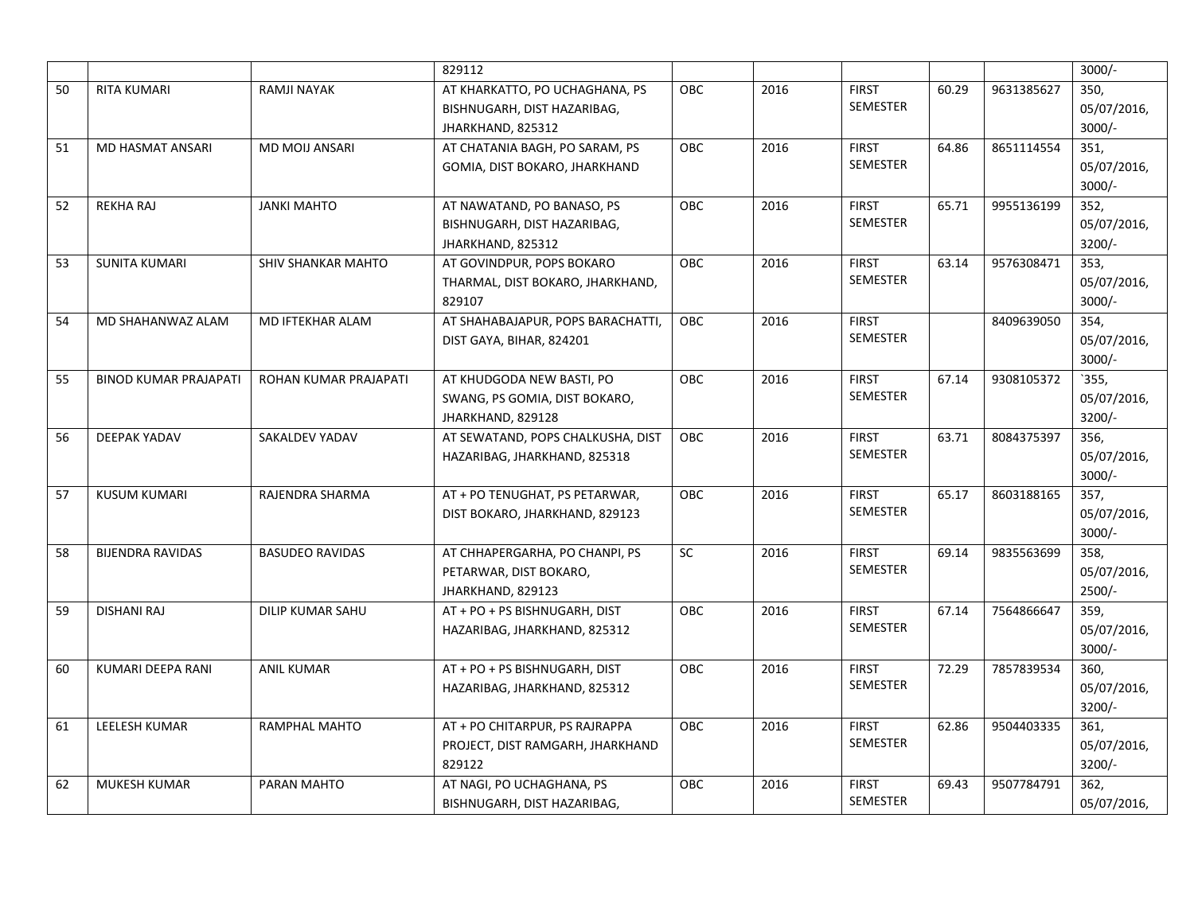|    |                              |                         | 829112                            |                 |      |                                 |       |            | $3000/-$          |
|----|------------------------------|-------------------------|-----------------------------------|-----------------|------|---------------------------------|-------|------------|-------------------|
|    |                              |                         |                                   |                 |      |                                 |       |            |                   |
| 50 | <b>RITA KUMARI</b>           | RAMJI NAYAK             | AT KHARKATTO, PO UCHAGHANA, PS    | OBC             | 2016 | <b>FIRST</b>                    | 60.29 | 9631385627 | 350,              |
|    |                              |                         | BISHNUGARH, DIST HAZARIBAG,       |                 |      | <b>SEMESTER</b>                 |       |            | 05/07/2016,       |
|    |                              |                         | JHARKHAND, 825312                 |                 |      |                                 |       |            | $3000/-$          |
| 51 | MD HASMAT ANSARI             | MD MOIJ ANSARI          | AT CHATANIA BAGH, PO SARAM, PS    | OBC             | 2016 | <b>FIRST</b>                    | 64.86 | 8651114554 | 351,              |
|    |                              |                         | GOMIA, DIST BOKARO, JHARKHAND     |                 |      | SEMESTER                        |       |            | 05/07/2016,       |
|    |                              |                         |                                   |                 |      |                                 |       |            | $3000/-$          |
| 52 | <b>REKHA RAJ</b>             | <b>JANKI MAHTO</b>      | AT NAWATAND, PO BANASO, PS        | <b>OBC</b>      | 2016 | <b>FIRST</b>                    | 65.71 | 9955136199 | 352,              |
|    |                              |                         | BISHNUGARH, DIST HAZARIBAG,       |                 |      | <b>SEMESTER</b>                 |       |            | 05/07/2016,       |
|    |                              |                         | JHARKHAND, 825312                 |                 |      |                                 |       |            | $3200/-$          |
| 53 | <b>SUNITA KUMARI</b>         | SHIV SHANKAR MAHTO      | AT GOVINDPUR, POPS BOKARO         | OBC             | 2016 | <b>FIRST</b>                    | 63.14 | 9576308471 | 353,              |
|    |                              |                         | THARMAL, DIST BOKARO, JHARKHAND,  |                 |      | SEMESTER                        |       |            | 05/07/2016,       |
|    |                              |                         | 829107                            |                 |      |                                 |       |            | $3000/-$          |
| 54 | MD SHAHANWAZ ALAM            | MD IFTEKHAR ALAM        | AT SHAHABAJAPUR, POPS BARACHATTI, | OBC             | 2016 | <b>FIRST</b>                    |       | 8409639050 | 354,              |
|    |                              |                         | DIST GAYA, BIHAR, 824201          |                 |      | <b>SEMESTER</b>                 |       |            | 05/07/2016,       |
|    |                              |                         |                                   |                 |      |                                 |       |            | $3000/-$          |
| 55 | <b>BINOD KUMAR PRAJAPATI</b> | ROHAN KUMAR PRAJAPATI   | AT KHUDGODA NEW BASTI, PO         | OBC             | 2016 | <b>FIRST</b>                    | 67.14 | 9308105372 | $\overline{355,}$ |
|    |                              |                         | SWANG, PS GOMIA, DIST BOKARO,     |                 |      | SEMESTER                        |       |            | 05/07/2016,       |
|    |                              |                         |                                   |                 |      |                                 |       |            |                   |
|    |                              |                         | JHARKHAND, 829128                 |                 |      |                                 |       |            | $3200/-$          |
| 56 | DEEPAK YADAV                 | SAKALDEV YADAV          | AT SEWATAND, POPS CHALKUSHA, DIST | OBC             | 2016 | <b>FIRST</b><br><b>SEMESTER</b> | 63.71 | 8084375397 | 356,              |
|    |                              |                         | HAZARIBAG, JHARKHAND, 825318      |                 |      |                                 |       |            | 05/07/2016,       |
|    |                              |                         |                                   |                 |      |                                 |       |            | $3000/-$          |
| 57 | <b>KUSUM KUMARI</b>          | RAJENDRA SHARMA         | AT + PO TENUGHAT, PS PETARWAR,    | OBC             | 2016 | <b>FIRST</b>                    | 65.17 | 8603188165 | 357,              |
|    |                              |                         | DIST BOKARO, JHARKHAND, 829123    |                 |      | <b>SEMESTER</b>                 |       |            | 05/07/2016,       |
|    |                              |                         |                                   |                 |      |                                 |       |            | $3000/-$          |
| 58 | <b>BIJENDRA RAVIDAS</b>      | <b>BASUDEO RAVIDAS</b>  | AT CHHAPERGARHA, PO CHANPI, PS    | $\overline{SC}$ | 2016 | <b>FIRST</b>                    | 69.14 | 9835563699 | 358,              |
|    |                              |                         | PETARWAR, DIST BOKARO,            |                 |      | <b>SEMESTER</b>                 |       |            | 05/07/2016,       |
|    |                              |                         | JHARKHAND, 829123                 |                 |      |                                 |       |            | $2500/-$          |
| 59 | <b>DISHANI RAJ</b>           | <b>DILIP KUMAR SAHU</b> | AT + PO + PS BISHNUGARH, DIST     | OBC             | 2016 | <b>FIRST</b>                    | 67.14 | 7564866647 | 359,              |
|    |                              |                         | HAZARIBAG, JHARKHAND, 825312      |                 |      | SEMESTER                        |       |            | 05/07/2016,       |
|    |                              |                         |                                   |                 |      |                                 |       |            | $3000/-$          |
| 60 | KUMARI DEEPA RANI            | <b>ANIL KUMAR</b>       | AT + PO + PS BISHNUGARH, DIST     | OBC             | 2016 | <b>FIRST</b>                    | 72.29 | 7857839534 | 360,              |
|    |                              |                         | HAZARIBAG, JHARKHAND, 825312      |                 |      | <b>SEMESTER</b>                 |       |            | 05/07/2016,       |
|    |                              |                         |                                   |                 |      |                                 |       |            | $3200/-$          |
| 61 | LEELESH KUMAR                | RAMPHAL MAHTO           | AT + PO CHITARPUR, PS RAJRAPPA    | OBC             | 2016 | <b>FIRST</b>                    | 62.86 | 9504403335 | 361,              |
|    |                              |                         | PROJECT, DIST RAMGARH, JHARKHAND  |                 |      | <b>SEMESTER</b>                 |       |            | 05/07/2016,       |
|    |                              |                         | 829122                            |                 |      |                                 |       |            | $3200/-$          |
| 62 | MUKESH KUMAR                 | PARAN MAHTO             | AT NAGI, PO UCHAGHANA, PS         | <b>OBC</b>      | 2016 | <b>FIRST</b>                    | 69.43 | 9507784791 | 362,              |
|    |                              |                         |                                   |                 |      | SEMESTER                        |       |            |                   |
|    |                              |                         | BISHNUGARH, DIST HAZARIBAG,       |                 |      |                                 |       |            | 05/07/2016,       |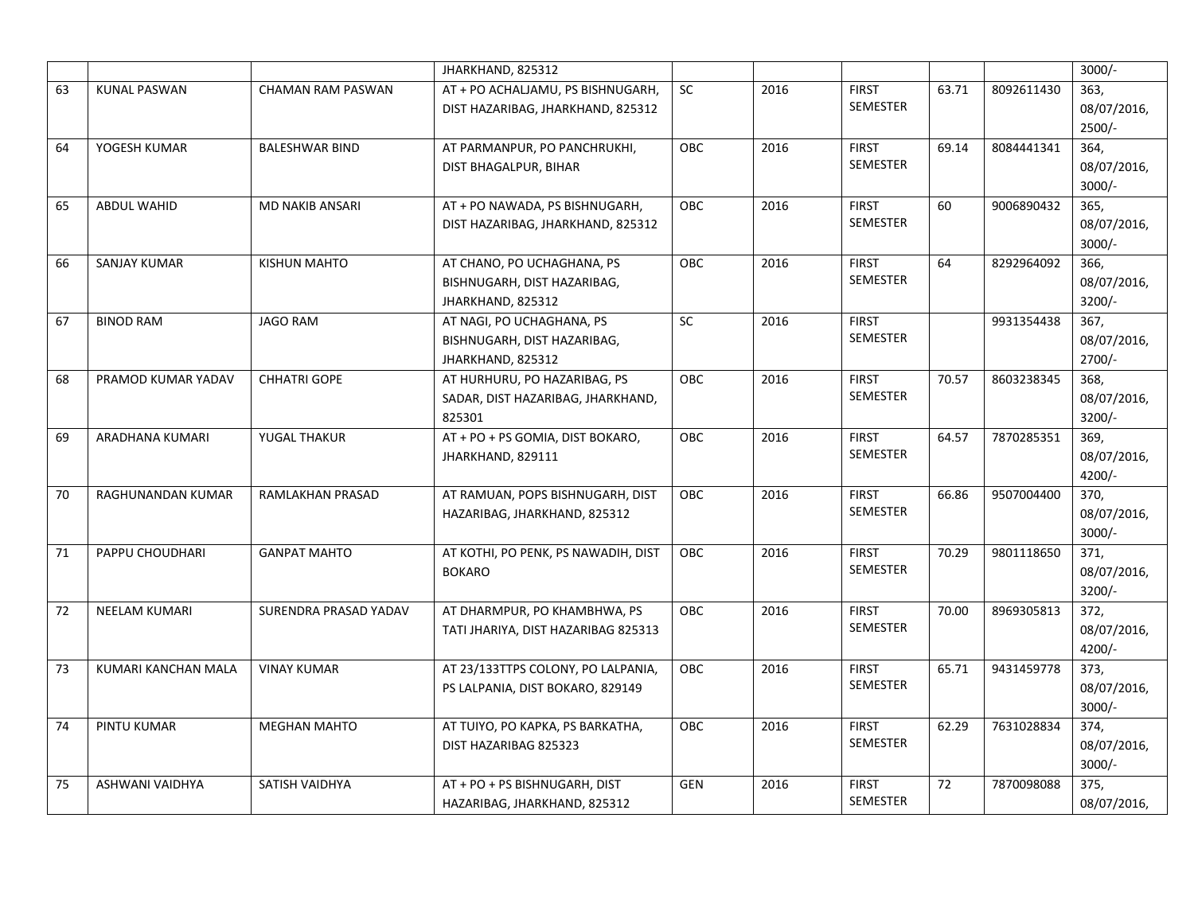|    |                        |                          | JHARKHAND, 825312                   |            |      |                 |       |            | $3000/-$    |
|----|------------------------|--------------------------|-------------------------------------|------------|------|-----------------|-------|------------|-------------|
| 63 | <b>KUNAL PASWAN</b>    | <b>CHAMAN RAM PASWAN</b> | AT + PO ACHALJAMU, PS BISHNUGARH,   | <b>SC</b>  | 2016 | <b>FIRST</b>    | 63.71 | 8092611430 | 363,        |
|    |                        |                          | DIST HAZARIBAG, JHARKHAND, 825312   |            |      | <b>SEMESTER</b> |       |            | 08/07/2016, |
|    |                        |                          |                                     |            |      |                 |       |            | $2500/-$    |
| 64 | YOGESH KUMAR           | <b>BALESHWAR BIND</b>    | AT PARMANPUR, PO PANCHRUKHI,        | OE         | 2016 | <b>FIRST</b>    | 69.14 | 8084441341 | 364,        |
|    |                        |                          | DIST BHAGALPUR, BIHAR               |            |      | SEMESTER        |       |            | 08/07/2016, |
|    |                        |                          |                                     |            |      |                 |       |            | $3000/-$    |
| 65 | <b>ABDUL WAHID</b>     | <b>MD NAKIB ANSARI</b>   | AT + PO NAWADA, PS BISHNUGARH,      | <b>OBC</b> | 2016 | <b>FIRST</b>    | 60    | 9006890432 | 365,        |
|    |                        |                          | DIST HAZARIBAG, JHARKHAND, 825312   |            |      | SEMESTER        |       |            | 08/07/2016, |
|    |                        |                          |                                     |            |      |                 |       |            | $3000/-$    |
| 66 | <b>SANJAY KUMAR</b>    | KISHUN MAHTO             | AT CHANO, PO UCHAGHANA, PS          | OBC        | 2016 | <b>FIRST</b>    | 64    | 8292964092 | 366,        |
|    |                        |                          | BISHNUGARH, DIST HAZARIBAG,         |            |      | SEMESTER        |       |            | 08/07/2016, |
|    |                        |                          | JHARKHAND, 825312                   |            |      |                 |       |            | $3200/-$    |
| 67 | <b>BINOD RAM</b>       | <b>JAGO RAM</b>          | AT NAGI, PO UCHAGHANA, PS           | SC         | 2016 | <b>FIRST</b>    |       | 9931354438 | 367,        |
|    |                        |                          | BISHNUGARH, DIST HAZARIBAG,         |            |      | <b>SEMESTER</b> |       |            | 08/07/2016, |
|    |                        |                          | JHARKHAND, 825312                   |            |      |                 |       |            | $2700/-$    |
| 68 | PRAMOD KUMAR YADAV     | <b>CHHATRI GOPE</b>      | AT HURHURU, PO HAZARIBAG, PS        | OE         | 2016 | <b>FIRST</b>    | 70.57 | 8603238345 | 368,        |
|    |                        |                          | SADAR, DIST HAZARIBAG, JHARKHAND,   |            |      | SEMESTER        |       |            | 08/07/2016, |
|    |                        |                          | 825301                              |            |      |                 |       |            | $3200/-$    |
| 69 | ARADHANA KUMARI        | YUGAL THAKUR             | AT + PO + PS GOMIA, DIST BOKARO,    | OBC        | 2016 | <b>FIRST</b>    | 64.57 | 7870285351 | 369,        |
|    |                        |                          | JHARKHAND, 829111                   |            |      | <b>SEMESTER</b> |       |            | 08/07/2016, |
|    |                        |                          |                                     |            |      |                 |       |            | $4200/-$    |
| 70 | RAGHUNANDAN KUMAR      | RAMLAKHAN PRASAD         | AT RAMUAN, POPS BISHNUGARH, DIST    | OBC        | 2016 | <b>FIRST</b>    | 66.86 | 9507004400 | 370,        |
|    |                        |                          | HAZARIBAG, JHARKHAND, 825312        |            |      | <b>SEMESTER</b> |       |            | 08/07/2016, |
|    |                        |                          |                                     |            |      |                 |       |            | $3000/-$    |
| 71 | PAPPU CHOUDHARI        | <b>GANPAT MAHTO</b>      | AT KOTHI, PO PENK, PS NAWADIH, DIST | <b>OBC</b> | 2016 | <b>FIRST</b>    | 70.29 | 9801118650 | 371,        |
|    |                        |                          | <b>BOKARO</b>                       |            |      | <b>SEMESTER</b> |       |            | 08/07/2016, |
|    |                        |                          |                                     |            |      |                 |       |            | $3200/-$    |
| 72 | <b>NEELAM KUMARI</b>   | SURENDRA PRASAD YADAV    | AT DHARMPUR, PO KHAMBHWA, PS        | OBC        | 2016 | <b>FIRST</b>    | 70.00 | 8969305813 | 372,        |
|    |                        |                          | TATI JHARIYA, DIST HAZARIBAG 825313 |            |      | SEMESTER        |       |            | 08/07/2016, |
|    |                        |                          |                                     |            |      |                 |       |            | $4200/-$    |
| 73 | KUMARI KANCHAN MALA    | <b>VINAY KUMAR</b>       | AT 23/133TTPS COLONY, PO LALPANIA,  | OBC        | 2016 | <b>FIRST</b>    | 65.71 | 9431459778 | 373,        |
|    |                        |                          | PS LALPANIA, DIST BOKARO, 829149    |            |      | SEMESTER        |       |            | 08/07/2016, |
|    |                        |                          |                                     |            |      |                 |       |            | $3000/-$    |
| 74 | PINTU KUMAR            | <b>MEGHAN MAHTO</b>      | AT TUIYO, PO KAPKA, PS BARKATHA,    | OBC        | 2016 | <b>FIRST</b>    | 62.29 | 7631028834 | 374,        |
|    |                        |                          | DIST HAZARIBAG 825323               |            |      | SEMESTER        |       |            | 08/07/2016, |
|    |                        |                          |                                     |            |      |                 |       |            | $3000/-$    |
| 75 | <b>ASHWANI VAIDHYA</b> | SATISH VAIDHYA           | AT + PO + PS BISHNUGARH, DIST       | <b>GEN</b> | 2016 | <b>FIRST</b>    | 72    | 7870098088 | 375,        |
|    |                        |                          | HAZARIBAG, JHARKHAND, 825312        |            |      | SEMESTER        |       |            | 08/07/2016, |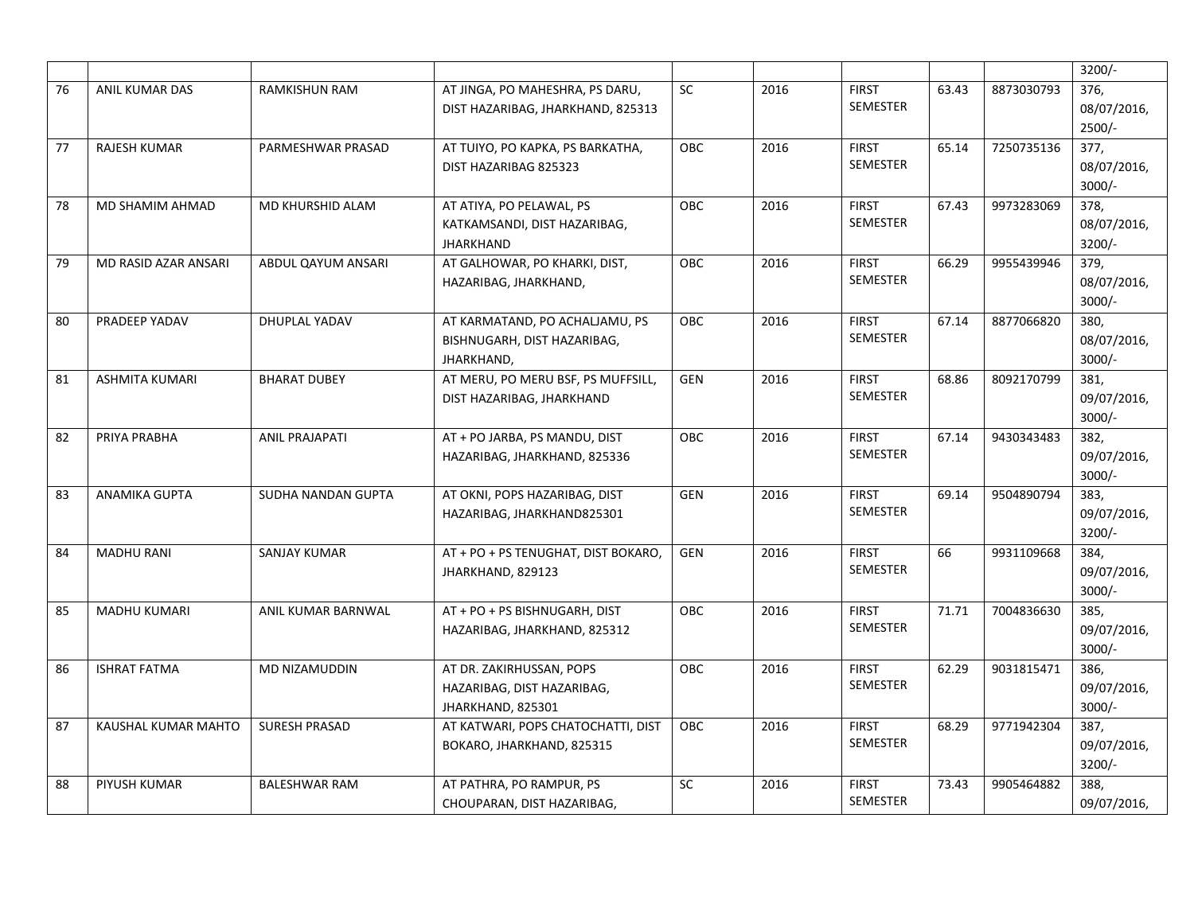|    |                       |                       |                                     |            |      |                 |       |            | $3200/-$    |
|----|-----------------------|-----------------------|-------------------------------------|------------|------|-----------------|-------|------------|-------------|
| 76 | ANIL KUMAR DAS        | RAMKISHUN RAM         | AT JINGA, PO MAHESHRA, PS DARU,     | <b>SC</b>  | 2016 | <b>FIRST</b>    | 63.43 | 8873030793 | 376,        |
|    |                       |                       | DIST HAZARIBAG, JHARKHAND, 825313   |            |      | <b>SEMESTER</b> |       |            | 08/07/2016, |
|    |                       |                       |                                     |            |      |                 |       |            | $2500/-$    |
| 77 | RAJESH KUMAR          | PARMESHWAR PRASAD     | AT TUIYO, PO KAPKA, PS BARKATHA,    | OBC        | 2016 | <b>FIRST</b>    | 65.14 | 7250735136 | 377,        |
|    |                       |                       | DIST HAZARIBAG 825323               |            |      | SEMESTER        |       |            | 08/07/2016, |
|    |                       |                       |                                     |            |      |                 |       |            | $3000/-$    |
| 78 | MD SHAMIM AHMAD       | MD KHURSHID ALAM      | AT ATIYA, PO PELAWAL, PS            | <b>OBC</b> | 2016 | <b>FIRST</b>    | 67.43 | 9973283069 | 378,        |
|    |                       |                       | KATKAMSANDI, DIST HAZARIBAG,        |            |      | <b>SEMESTER</b> |       |            | 08/07/2016, |
|    |                       |                       | <b>JHARKHAND</b>                    |            |      |                 |       |            | $3200/-$    |
| 79 | MD RASID AZAR ANSARI  | ABDUL QAYUM ANSARI    | AT GALHOWAR, PO KHARKI, DIST,       | OBC        | 2016 | <b>FIRST</b>    | 66.29 | 9955439946 | 379,        |
|    |                       |                       | HAZARIBAG, JHARKHAND,               |            |      | SEMESTER        |       |            | 08/07/2016, |
|    |                       |                       |                                     |            |      |                 |       |            | $3000/-$    |
| 80 | PRADEEP YADAV         | <b>DHUPLAL YADAV</b>  | AT KARMATAND, PO ACHALJAMU, PS      | OBC        | 2016 | <b>FIRST</b>    | 67.14 | 8877066820 | 380,        |
|    |                       |                       | BISHNUGARH, DIST HAZARIBAG,         |            |      | <b>SEMESTER</b> |       |            | 08/07/2016, |
|    |                       |                       | JHARKHAND,                          |            |      |                 |       |            | $3000/-$    |
| 81 | <b>ASHMITA KUMARI</b> | <b>BHARAT DUBEY</b>   | AT MERU, PO MERU BSF, PS MUFFSILL,  | <b>GEN</b> | 2016 | <b>FIRST</b>    | 68.86 | 8092170799 | 381,        |
|    |                       |                       | DIST HAZARIBAG, JHARKHAND           |            |      | SEMESTER        |       |            | 09/07/2016, |
|    |                       |                       |                                     |            |      |                 |       |            | $3000/-$    |
| 82 | PRIYA PRABHA          | <b>ANIL PRAJAPATI</b> | AT + PO JARBA, PS MANDU, DIST       | OBC        | 2016 | <b>FIRST</b>    | 67.14 | 9430343483 | 382,        |
|    |                       |                       | HAZARIBAG, JHARKHAND, 825336        |            |      | <b>SEMESTER</b> |       |            | 09/07/2016, |
|    |                       |                       |                                     |            |      |                 |       |            | $3000/-$    |
| 83 | <b>ANAMIKA GUPTA</b>  | SUDHA NANDAN GUPTA    | AT OKNI, POPS HAZARIBAG, DIST       | <b>GEN</b> | 2016 | <b>FIRST</b>    | 69.14 | 9504890794 | 383,        |
|    |                       |                       | HAZARIBAG, JHARKHAND825301          |            |      | <b>SEMESTER</b> |       |            | 09/07/2016, |
|    |                       |                       |                                     |            |      |                 |       |            | $3200/-$    |
| 84 | <b>MADHU RANI</b>     | <b>SANJAY KUMAR</b>   | AT + PO + PS TENUGHAT, DIST BOKARO, | <b>GEN</b> | 2016 | <b>FIRST</b>    | 66    | 9931109668 | 384,        |
|    |                       |                       | JHARKHAND, 829123                   |            |      | <b>SEMESTER</b> |       |            | 09/07/2016, |
|    |                       |                       |                                     |            |      |                 |       |            | $3000/-$    |
| 85 | <b>MADHU KUMARI</b>   | ANIL KUMAR BARNWAL    | AT + PO + PS BISHNUGARH, DIST       | OBC        | 2016 | <b>FIRST</b>    | 71.71 | 7004836630 | 385,        |
|    |                       |                       | HAZARIBAG, JHARKHAND, 825312        |            |      | SEMESTER        |       |            | 09/07/2016, |
|    |                       |                       |                                     |            |      |                 |       |            | $3000/-$    |
| 86 | <b>ISHRAT FATMA</b>   | MD NIZAMUDDIN         | AT DR. ZAKIRHUSSAN, POPS            | OBC        | 2016 | <b>FIRST</b>    | 62.29 | 9031815471 | 386,        |
|    |                       |                       | HAZARIBAG, DIST HAZARIBAG,          |            |      | <b>SEMESTER</b> |       |            | 09/07/2016, |
|    |                       |                       | JHARKHAND, 825301                   |            |      |                 |       |            | $3000/-$    |
| 87 | KAUSHAL KUMAR MAHTO   | <b>SURESH PRASAD</b>  | AT KATWARI, POPS CHATOCHATTI, DIST  | OBC        | 2016 | <b>FIRST</b>    | 68.29 | 9771942304 | 387,        |
|    |                       |                       | BOKARO, JHARKHAND, 825315           |            |      | <b>SEMESTER</b> |       |            | 09/07/2016, |
|    |                       |                       |                                     |            |      |                 |       |            | $3200/-$    |
| 88 | PIYUSH KUMAR          | <b>BALESHWAR RAM</b>  | AT PATHRA, PO RAMPUR, PS            | <b>SC</b>  | 2016 | <b>FIRST</b>    | 73.43 | 9905464882 | 388,        |
|    |                       |                       | CHOUPARAN, DIST HAZARIBAG,          |            |      | <b>SEMESTER</b> |       |            | 09/07/2016, |